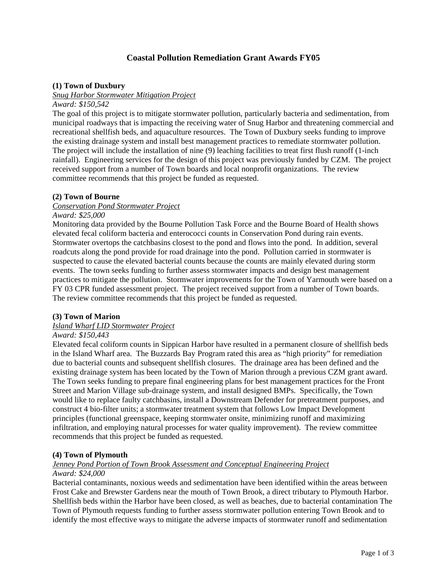# **Coastal Pollution Remediation Grant Awards FY05**

## **(1) Town of Duxbury**

#### *Snug Harbor Stormwater Mitigation Project*

*Award: \$150,542* 

The goal of this project is to mitigate stormwater pollution, particularly bacteria and sedimentation, from municipal roadways that is impacting the receiving water of Snug Harbor and threatening commercial and recreational shellfish beds, and aquaculture resources. The Town of Duxbury seeks funding to improve the existing drainage system and install best management practices to remediate stormwater pollution. The project will include the installation of nine (9) leaching facilities to treat first flush runoff (1-inch rainfall). Engineering services for the design of this project was previously funded by CZM. The project received support from a number of Town boards and local nonprofit organizations. The review committee recommends that this project be funded as requested.

#### **(2) Town of Bourne**

#### *Conservation Pond Stormwater Project*

### *Award: \$25,000*

Monitoring data provided by the Bourne Pollution Task Force and the Bourne Board of Health shows elevated fecal coliform bacteria and enterococci counts in Conservation Pond during rain events. Stormwater overtops the catchbasins closest to the pond and flows into the pond. In addition, several roadcuts along the pond provide for road drainage into the pond. Pollution carried in stormwater is suspected to cause the elevated bacterial counts because the counts are mainly elevated during storm events. The town seeks funding to further assess stormwater impacts and design best management practices to mitigate the pollution. Stormwater improvements for the Town of Yarmouth were based on a FY 03 CPR funded assessment project. The project received support from a number of Town boards. The review committee recommends that this project be funded as requested.

#### **(3) Town of Marion**

# *Island Wharf LID Stormwater Project*

#### *Award: \$150,443*

Elevated fecal coliform counts in Sippican Harbor have resulted in a permanent closure of shellfish beds in the Island Wharf area. The Buzzards Bay Program rated this area as "high priority" for remediation due to bacterial counts and subsequent shellfish closures. The drainage area has been defined and the existing drainage system has been located by the Town of Marion through a previous CZM grant award. The Town seeks funding to prepare final engineering plans for best management practices for the Front Street and Marion Village sub-drainage system, and install designed BMPs. Specifically, the Town would like to replace faulty catchbasins, install a Downstream Defender for pretreatment purposes, and construct 4 bio-filter units; a stormwater treatment system that follows Low Impact Development principles (functional greenspace, keeping stormwater onsite, minimizing runoff and maximizing infiltration, and employing natural processes for water quality improvement). The review committee recommends that this project be funded as requested.

## **(4) Town of Plymouth**

#### *Jenney Pond Portion of Town Brook Assessment and Conceptual Engineering Project Award: \$24,000*

Bacterial contaminants, noxious weeds and sedimentation have been identified within the areas between Frost Cake and Brewster Gardens near the mouth of Town Brook, a direct tributary to Plymouth Harbor. Shellfish beds within the Harbor have been closed, as well as beaches, due to bacterial contamination The Town of Plymouth requests funding to further assess stormwater pollution entering Town Brook and to identify the most effective ways to mitigate the adverse impacts of stormwater runoff and sedimentation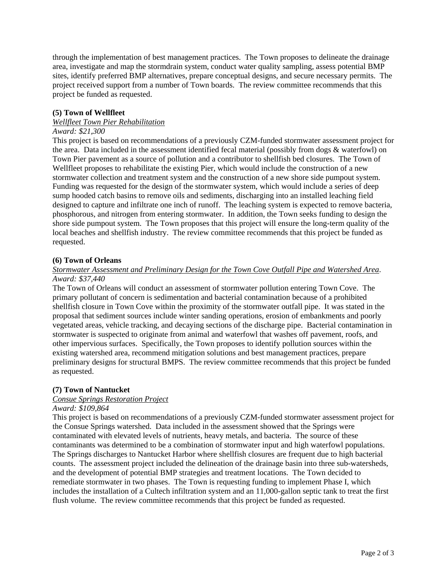through the implementation of best management practices. The Town proposes to delineate the drainage area, investigate and map the stormdrain system, conduct water quality sampling, assess potential BMP sites, identify preferred BMP alternatives, prepare conceptual designs, and secure necessary permits. The project received support from a number of Town boards. The review committee recommends that this project be funded as requested.

## **(5) Town of Wellfleet**

## *Wellfleet Town Pier Rehabilitation*

#### *Award: \$21,300*

This project is based on recommendations of a previously CZM-funded stormwater assessment project for the area. Data included in the assessment identified fecal material (possibly from dogs & waterfowl) on Town Pier pavement as a source of pollution and a contributor to shellfish bed closures. The Town of Wellfleet proposes to rehabilitate the existing Pier, which would include the construction of a new stormwater collection and treatment system and the construction of a new shore side pumpout system. Funding was requested for the design of the stormwater system, which would include a series of deep sump hooded catch basins to remove oils and sediments, discharging into an installed leaching field designed to capture and infiltrate one inch of runoff. The leaching system is expected to remove bacteria, phosphorous, and nitrogen from entering stormwater. In addition, the Town seeks funding to design the shore side pumpout system. The Town proposes that this project will ensure the long-term quality of the local beaches and shellfish industry. The review committee recommends that this project be funded as requested.

#### **(6) Town of Orleans**

## *Stormwater Assessment and Preliminary Design for the Town Cove Outfall Pipe and Watershed Area*. *Award: \$37,440*

The Town of Orleans will conduct an assessment of stormwater pollution entering Town Cove. The primary pollutant of concern is sedimentation and bacterial contamination because of a prohibited shellfish closure in Town Cove within the proximity of the stormwater outfall pipe. It was stated in the proposal that sediment sources include winter sanding operations, erosion of embankments and poorly vegetated areas, vehicle tracking, and decaying sections of the discharge pipe. Bacterial contamination in stormwater is suspected to originate from animal and waterfowl that washes off pavement, roofs, and other impervious surfaces. Specifically, the Town proposes to identify pollution sources within the existing watershed area, recommend mitigation solutions and best management practices, prepare preliminary designs for structural BMPS. The review committee recommends that this project be funded as requested.

#### **(7) Town of Nantucket**

## *Consue Springs Restoration Project*

## *Award: \$109,864*

This project is based on recommendations of a previously CZM-funded stormwater assessment project for the Consue Springs watershed. Data included in the assessment showed that the Springs were contaminated with elevated levels of nutrients, heavy metals, and bacteria. The source of these contaminants was determined to be a combination of stormwater input and high waterfowl populations. The Springs discharges to Nantucket Harbor where shellfish closures are frequent due to high bacterial counts. The assessment project included the delineation of the drainage basin into three sub-watersheds, and the development of potential BMP strategies and treatment locations. The Town decided to remediate stormwater in two phases. The Town is requesting funding to implement Phase I, which includes the installation of a Cultech infiltration system and an 11,000-gallon septic tank to treat the first flush volume. The review committee recommends that this project be funded as requested.